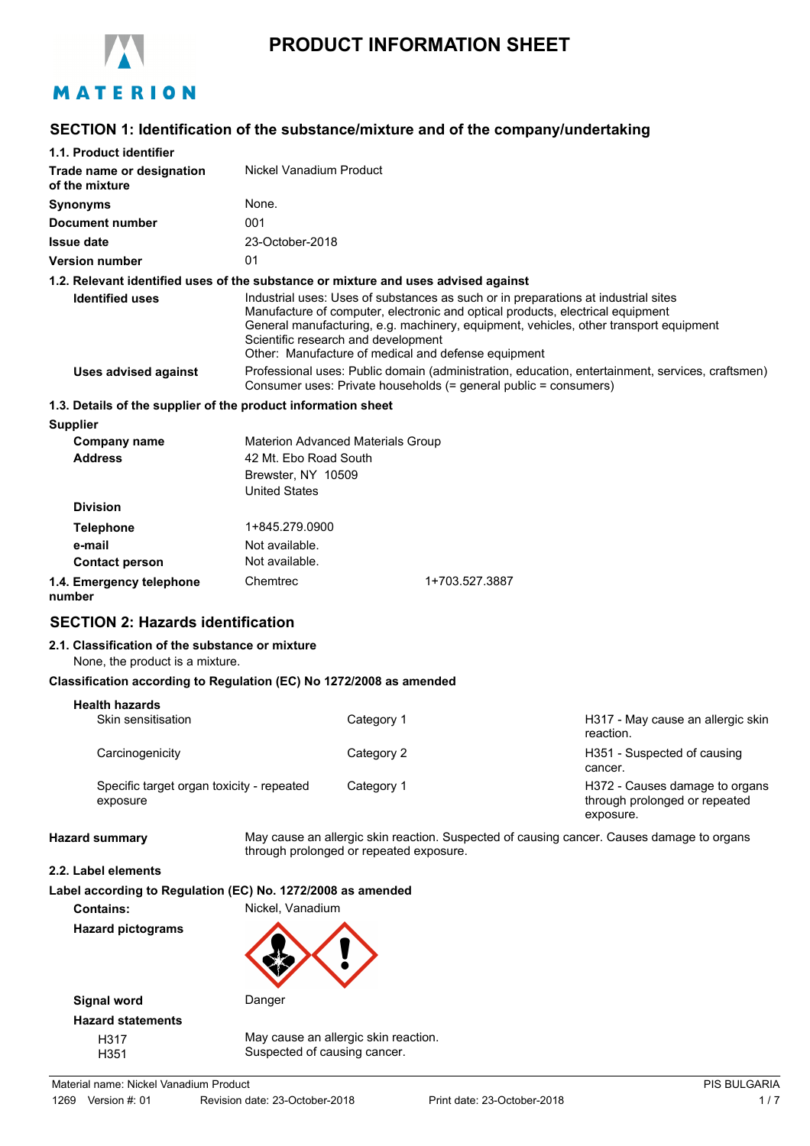

# **PRODUCT INFORMATION SHEET**

# **SECTION 1: Identification of the substance/mixture and of the company/undertaking**

| 1.1. Product identifier                                                            |                                                                                                                 |            |                                                                                                                                                                                                                                                                                                                      |                                                                                                  |
|------------------------------------------------------------------------------------|-----------------------------------------------------------------------------------------------------------------|------------|----------------------------------------------------------------------------------------------------------------------------------------------------------------------------------------------------------------------------------------------------------------------------------------------------------------------|--------------------------------------------------------------------------------------------------|
| Trade name or designation<br>of the mixture                                        | Nickel Vanadium Product                                                                                         |            |                                                                                                                                                                                                                                                                                                                      |                                                                                                  |
| <b>Synonyms</b>                                                                    | None.                                                                                                           |            |                                                                                                                                                                                                                                                                                                                      |                                                                                                  |
| <b>Document number</b>                                                             | 001                                                                                                             |            |                                                                                                                                                                                                                                                                                                                      |                                                                                                  |
| <b>Issue date</b>                                                                  | 23-October-2018                                                                                                 |            |                                                                                                                                                                                                                                                                                                                      |                                                                                                  |
| <b>Version number</b>                                                              | 01                                                                                                              |            |                                                                                                                                                                                                                                                                                                                      |                                                                                                  |
| 1.2. Relevant identified uses of the substance or mixture and uses advised against |                                                                                                                 |            |                                                                                                                                                                                                                                                                                                                      |                                                                                                  |
| <b>Identified uses</b>                                                             | Scientific research and development                                                                             |            | Industrial uses: Uses of substances as such or in preparations at industrial sites<br>Manufacture of computer, electronic and optical products, electrical equipment<br>General manufacturing, e.g. machinery, equipment, vehicles, other transport equipment<br>Other: Manufacture of medical and defense equipment |                                                                                                  |
| <b>Uses advised against</b>                                                        |                                                                                                                 |            | Consumer uses: Private households (= general public = consumers)                                                                                                                                                                                                                                                     | Professional uses: Public domain (administration, education, entertainment, services, craftsmen) |
| 1.3. Details of the supplier of the product information sheet                      |                                                                                                                 |            |                                                                                                                                                                                                                                                                                                                      |                                                                                                  |
| <b>Supplier</b>                                                                    |                                                                                                                 |            |                                                                                                                                                                                                                                                                                                                      |                                                                                                  |
| <b>Company name</b><br><b>Address</b>                                              | <b>Materion Advanced Materials Group</b><br>42 Mt. Ebo Road South<br>Brewster, NY 10509<br><b>United States</b> |            |                                                                                                                                                                                                                                                                                                                      |                                                                                                  |
| <b>Division</b>                                                                    |                                                                                                                 |            |                                                                                                                                                                                                                                                                                                                      |                                                                                                  |
| <b>Telephone</b>                                                                   | 1+845.279.0900                                                                                                  |            |                                                                                                                                                                                                                                                                                                                      |                                                                                                  |
| e-mail                                                                             | Not available.                                                                                                  |            |                                                                                                                                                                                                                                                                                                                      |                                                                                                  |
| <b>Contact person</b>                                                              | Not available.                                                                                                  |            |                                                                                                                                                                                                                                                                                                                      |                                                                                                  |
| 1.4. Emergency telephone<br>number                                                 | Chemtrec                                                                                                        |            | 1+703.527.3887                                                                                                                                                                                                                                                                                                       |                                                                                                  |
| <b>SECTION 2: Hazards identification</b>                                           |                                                                                                                 |            |                                                                                                                                                                                                                                                                                                                      |                                                                                                  |
| 2.1. Classification of the substance or mixture<br>None, the product is a mixture. |                                                                                                                 |            |                                                                                                                                                                                                                                                                                                                      |                                                                                                  |
| Classification according to Regulation (EC) No 1272/2008 as amended                |                                                                                                                 |            |                                                                                                                                                                                                                                                                                                                      |                                                                                                  |
| <b>Health hazards</b>                                                              |                                                                                                                 |            |                                                                                                                                                                                                                                                                                                                      |                                                                                                  |
| Skin sensitisation                                                                 |                                                                                                                 | Category 1 |                                                                                                                                                                                                                                                                                                                      | H317 - May cause an allergic skin<br>reaction.                                                   |
| Carcinogenicity                                                                    |                                                                                                                 | Category 2 |                                                                                                                                                                                                                                                                                                                      | H351 - Suspected of causing<br>cancer.                                                           |
| Specific target organ toxicity - repeated<br>exposure                              |                                                                                                                 | Category 1 |                                                                                                                                                                                                                                                                                                                      | H372 - Causes damage to organs<br>through prolonged or repeated<br>exposure.                     |
| <b>Hazard summary</b>                                                              | through prolonged or repeated exposure.                                                                         |            |                                                                                                                                                                                                                                                                                                                      | May cause an allergic skin reaction. Suspected of causing cancer. Causes damage to organs        |
| 2.2. Label elements                                                                |                                                                                                                 |            |                                                                                                                                                                                                                                                                                                                      |                                                                                                  |
| Label according to Regulation (EC) No. 1272/2008 as amended<br><b>Contains:</b>    | Nickel, Vanadium                                                                                                |            |                                                                                                                                                                                                                                                                                                                      |                                                                                                  |
| <b>Hazard pictograms</b>                                                           |                                                                                                                 |            |                                                                                                                                                                                                                                                                                                                      |                                                                                                  |



**Signal word** Danger **Hazard statements**

H317 May cause an allergic skin reaction. H351 Suspected of causing cancer.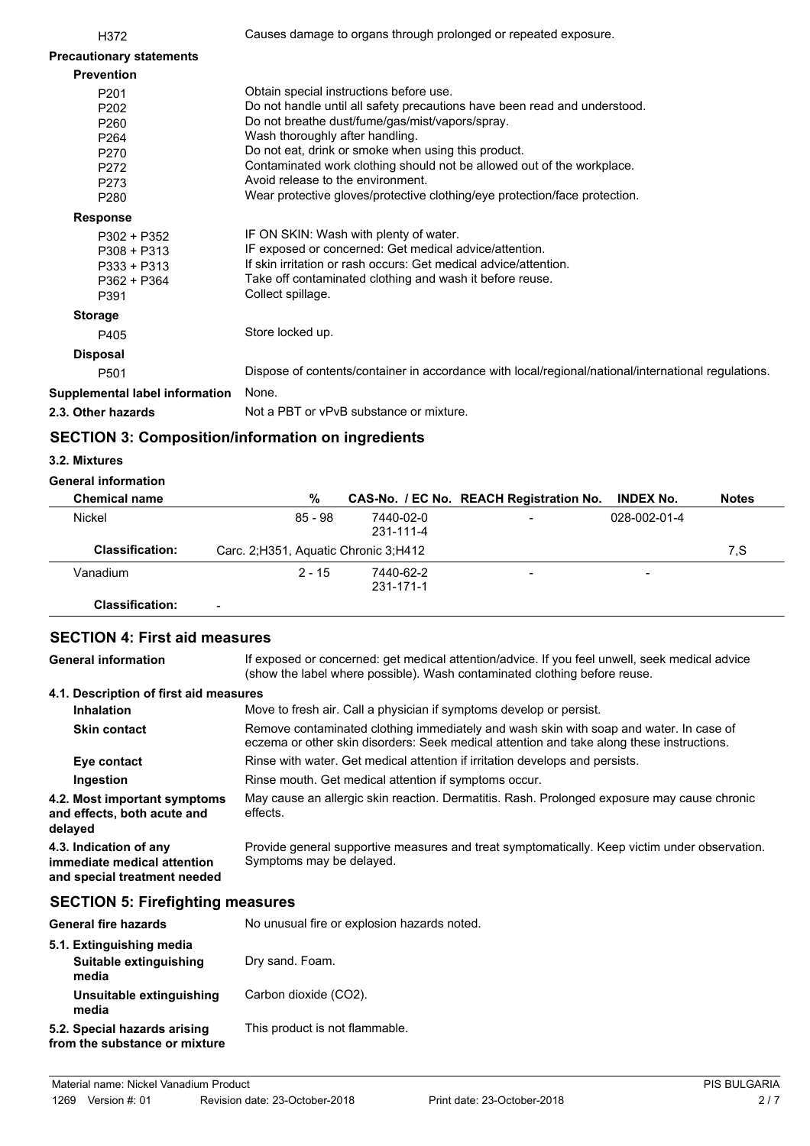| H372                            | Causes damage to organs through prolonged or repeated exposure.                                     |
|---------------------------------|-----------------------------------------------------------------------------------------------------|
| <b>Precautionary statements</b> |                                                                                                     |
| <b>Prevention</b>               |                                                                                                     |
| P201                            | Obtain special instructions before use.                                                             |
| P <sub>202</sub>                | Do not handle until all safety precautions have been read and understood.                           |
| P <sub>260</sub>                | Do not breathe dust/fume/gas/mist/vapors/spray.                                                     |
| P <sub>264</sub>                | Wash thoroughly after handling.                                                                     |
| P270                            | Do not eat, drink or smoke when using this product.                                                 |
| P272                            | Contaminated work clothing should not be allowed out of the workplace.                              |
| P273                            | Avoid release to the environment.                                                                   |
| P280                            | Wear protective gloves/protective clothing/eye protection/face protection.                          |
| <b>Response</b>                 |                                                                                                     |
| $P302 + P352$                   | IF ON SKIN: Wash with plenty of water.                                                              |
| $P308 + P313$                   | IF exposed or concerned: Get medical advice/attention.                                              |
| $P333 + P313$                   | If skin irritation or rash occurs: Get medical advice/attention.                                    |
| P362 + P364                     | Take off contaminated clothing and wash it before reuse.                                            |
| P391                            | Collect spillage.                                                                                   |
| <b>Storage</b>                  |                                                                                                     |
| P405                            | Store locked up.                                                                                    |
| <b>Disposal</b>                 |                                                                                                     |
| P <sub>501</sub>                | Dispose of contents/container in accordance with local/regional/national/international regulations. |
| Supplemental label information  | None.                                                                                               |
| 2.3. Other hazards              | Not a PBT or vPvB substance or mixture.                                                             |

# **SECTION 3: Composition/information on ingredients**

### **3.2. Mixtures**

### **General information**

| <b>Chemical name</b>   | %                                      |                        | CAS-No. / EC No. REACH Registration No. | <b>INDEX No.</b>         | <b>Notes</b> |
|------------------------|----------------------------------------|------------------------|-----------------------------------------|--------------------------|--------------|
| Nickel                 | 85 - 98                                | 7440-02-0<br>231-111-4 | -                                       | 028-002-01-4             |              |
| <b>Classification:</b> | Carc. 2; H351, Aquatic Chronic 3; H412 |                        |                                         |                          | 7.S          |
| Vanadium               | $2 - 15$                               | 7440-62-2<br>231-171-1 | -                                       | $\overline{\phantom{0}}$ |              |
| Classification:        |                                        |                        |                                         |                          |              |

## **SECTION 4: First aid measures**

If exposed or concerned: get medical attention/advice. If you feel unwell, seek medical advice (show the label where possible). Wash contaminated clothing before reuse. **General information 4.1. Description of first aid measures Inhalation** Move to fresh air. Call a physician if symptoms develop or persist. Remove contaminated clothing immediately and wash skin with soap and water. In case of eczema or other skin disorders: Seek medical attention and take along these instructions. **Skin contact Eye contact** Rinse with water. Get medical attention if irritation develops and persists. **Ingestion** Rinse mouth. Get medical attention if symptoms occur. May cause an allergic skin reaction. Dermatitis. Rash. Prolonged exposure may cause chronic effects. **4.2. Most important symptoms and effects, both acute and delayed** Provide general supportive measures and treat symptomatically. Keep victim under observation. Symptoms may be delayed. **4.3. Indication of any immediate medical attention and special treatment needed**

# **SECTION 5: Firefighting measures**

| <b>General fire hazards</b>                                   | No unusual fire or explosion hazards noted. |
|---------------------------------------------------------------|---------------------------------------------|
| 5.1. Extinguishing media<br>Suitable extinguishing<br>media   | Dry sand. Foam.                             |
| Unsuitable extinguishing<br>media                             | Carbon dioxide (CO2).                       |
| 5.2. Special hazards arising<br>from the substance or mixture | This product is not flammable.              |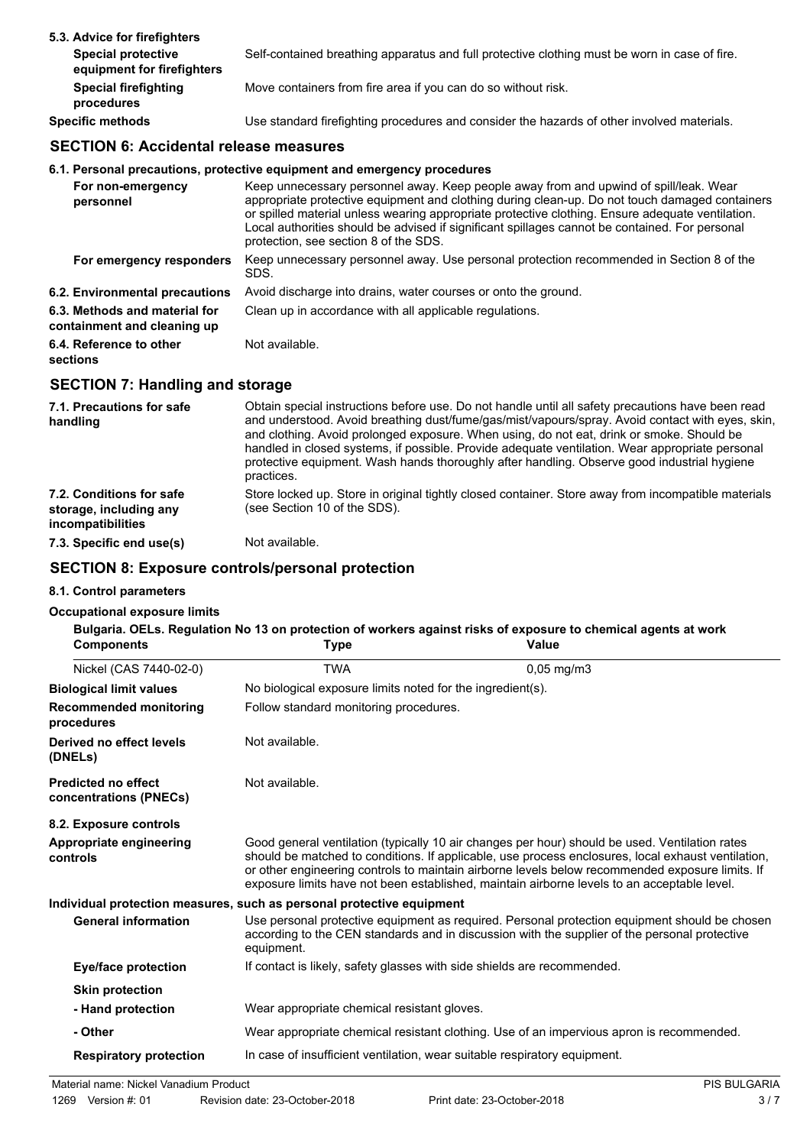| 5.3. Advice for firefighters                            |                                                                                               |
|---------------------------------------------------------|-----------------------------------------------------------------------------------------------|
| <b>Special protective</b><br>equipment for firefighters | Self-contained breathing apparatus and full protective clothing must be worn in case of fire. |
| <b>Special firefighting</b><br>procedures               | Move containers from fire area if you can do so without risk.                                 |
| <b>Specific methods</b>                                 | Use standard firefighting procedures and consider the hazards of other involved materials.    |

# **SECTION 6: Accidental release measures**

## **6.1. Personal precautions, protective equipment and emergency procedures**

| For non-emergency<br>personnel                               | Keep unnecessary personnel away. Keep people away from and upwind of spill/leak. Wear<br>appropriate protective equipment and clothing during clean-up. Do not touch damaged containers<br>or spilled material unless wearing appropriate protective clothing. Ensure adequate ventilation.<br>Local authorities should be advised if significant spillages cannot be contained. For personal<br>protection, see section 8 of the SDS. |
|--------------------------------------------------------------|----------------------------------------------------------------------------------------------------------------------------------------------------------------------------------------------------------------------------------------------------------------------------------------------------------------------------------------------------------------------------------------------------------------------------------------|
| For emergency responders                                     | Keep unnecessary personnel away. Use personal protection recommended in Section 8 of the<br>SDS.                                                                                                                                                                                                                                                                                                                                       |
| 6.2. Environmental precautions                               | Avoid discharge into drains, water courses or onto the ground.                                                                                                                                                                                                                                                                                                                                                                         |
| 6.3. Methods and material for<br>containment and cleaning up | Clean up in accordance with all applicable regulations.                                                                                                                                                                                                                                                                                                                                                                                |
| 6.4. Reference to other<br>sections                          | Not available.                                                                                                                                                                                                                                                                                                                                                                                                                         |

# **SECTION 7: Handling and storage**

| 7.1. Precautions for safe<br>handling                                          | Obtain special instructions before use. Do not handle until all safety precautions have been read<br>and understood. Avoid breathing dust/fume/gas/mist/vapours/spray. Avoid contact with eyes, skin,<br>and clothing. Avoid prolonged exposure. When using, do not eat, drink or smoke. Should be<br>handled in closed systems, if possible. Provide adequate ventilation. Wear appropriate personal<br>protective equipment. Wash hands thoroughly after handling. Observe good industrial hygiene<br>practices. |
|--------------------------------------------------------------------------------|--------------------------------------------------------------------------------------------------------------------------------------------------------------------------------------------------------------------------------------------------------------------------------------------------------------------------------------------------------------------------------------------------------------------------------------------------------------------------------------------------------------------|
| 7.2. Conditions for safe<br>storage, including any<br><i>incompatibilities</i> | Store locked up. Store in original tightly closed container. Store away from incompatible materials<br>(see Section 10 of the SDS).                                                                                                                                                                                                                                                                                                                                                                                |
| 7.3. Specific end use(s)                                                       | Not available.                                                                                                                                                                                                                                                                                                                                                                                                                                                                                                     |

## **SECTION 8: Exposure controls/personal protection**

### **8.1. Control parameters**

### **Occupational exposure limits**

| <b>Components</b>                                    | <b>Type</b>                                                               | Bulgaria. OELs. Regulation No 13 on protection of workers against risks of exposure to chemical agents at work<br>Value                                                                                                                                                                                                                                                                                |  |  |
|------------------------------------------------------|---------------------------------------------------------------------------|--------------------------------------------------------------------------------------------------------------------------------------------------------------------------------------------------------------------------------------------------------------------------------------------------------------------------------------------------------------------------------------------------------|--|--|
| Nickel (CAS 7440-02-0)                               | <b>TWA</b>                                                                | $0,05$ mg/m $3$                                                                                                                                                                                                                                                                                                                                                                                        |  |  |
| <b>Biological limit values</b>                       | No biological exposure limits noted for the ingredient(s).                |                                                                                                                                                                                                                                                                                                                                                                                                        |  |  |
| <b>Recommended monitoring</b><br>procedures          |                                                                           | Follow standard monitoring procedures.                                                                                                                                                                                                                                                                                                                                                                 |  |  |
| Derived no effect levels<br>(DNELs)                  | Not available.                                                            |                                                                                                                                                                                                                                                                                                                                                                                                        |  |  |
| <b>Predicted no effect</b><br>concentrations (PNECs) | Not available.                                                            |                                                                                                                                                                                                                                                                                                                                                                                                        |  |  |
| 8.2. Exposure controls                               |                                                                           |                                                                                                                                                                                                                                                                                                                                                                                                        |  |  |
| Appropriate engineering<br>controls                  |                                                                           | Good general ventilation (typically 10 air changes per hour) should be used. Ventilation rates<br>should be matched to conditions. If applicable, use process enclosures, local exhaust ventilation,<br>or other engineering controls to maintain airborne levels below recommended exposure limits. If<br>exposure limits have not been established, maintain airborne levels to an acceptable level. |  |  |
|                                                      | Individual protection measures, such as personal protective equipment     |                                                                                                                                                                                                                                                                                                                                                                                                        |  |  |
| <b>General information</b>                           | equipment.                                                                | Use personal protective equipment as required. Personal protection equipment should be chosen<br>according to the CEN standards and in discussion with the supplier of the personal protective                                                                                                                                                                                                         |  |  |
| <b>Eye/face protection</b>                           | If contact is likely, safety glasses with side shields are recommended.   |                                                                                                                                                                                                                                                                                                                                                                                                        |  |  |
| <b>Skin protection</b>                               |                                                                           |                                                                                                                                                                                                                                                                                                                                                                                                        |  |  |
| - Hand protection                                    | Wear appropriate chemical resistant gloves.                               |                                                                                                                                                                                                                                                                                                                                                                                                        |  |  |
| - Other                                              |                                                                           | Wear appropriate chemical resistant clothing. Use of an impervious apron is recommended.                                                                                                                                                                                                                                                                                                               |  |  |
| <b>Respiratory protection</b>                        | In case of insufficient ventilation, wear suitable respiratory equipment. |                                                                                                                                                                                                                                                                                                                                                                                                        |  |  |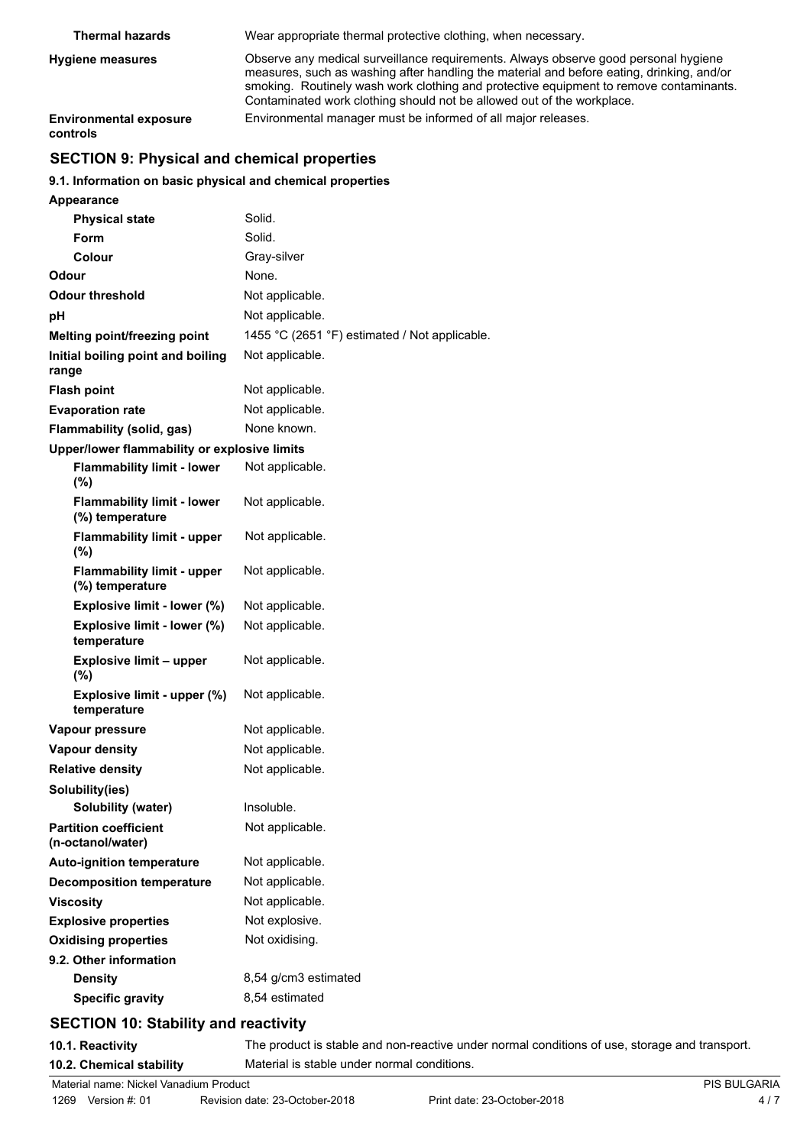| <b>Thermal hazards</b>                    | Wear appropriate thermal protective clothing, when necessary.                                                                                                                                                                                                                                                                                        |
|-------------------------------------------|------------------------------------------------------------------------------------------------------------------------------------------------------------------------------------------------------------------------------------------------------------------------------------------------------------------------------------------------------|
| <b>Hygiene measures</b>                   | Observe any medical surveillance requirements. Always observe good personal hygiene<br>measures, such as washing after handling the material and before eating, drinking, and/or<br>smoking. Routinely wash work clothing and protective equipment to remove contaminants.<br>Contaminated work clothing should not be allowed out of the workplace. |
| <b>Environmental exposure</b><br>controls | Environmental manager must be informed of all major releases.                                                                                                                                                                                                                                                                                        |

# **SECTION 9: Physical and chemical properties**

### **9.1. Information on basic physical and chemical properties**

| <b>Appearance</b>                                    |                                               |
|------------------------------------------------------|-----------------------------------------------|
| <b>Physical state</b>                                | Solid.                                        |
| Form                                                 | Solid.                                        |
| Colour                                               | Gray-silver                                   |
| Odour                                                | None.                                         |
| Odour threshold                                      | Not applicable.                               |
| рH                                                   | Not applicable.                               |
| <b>Melting point/freezing point</b>                  | 1455 °C (2651 °F) estimated / Not applicable. |
| Initial boiling point and boiling<br>range           | Not applicable.                               |
| <b>Flash point</b>                                   | Not applicable.                               |
| <b>Evaporation rate</b>                              | Not applicable.                               |
| Flammability (solid, gas)                            | None known.                                   |
| Upper/lower flammability or explosive limits         |                                               |
| <b>Flammability limit - lower</b><br>$(\%)$          | Not applicable.                               |
| <b>Flammability limit - lower</b><br>(%) temperature | Not applicable.                               |
| <b>Flammability limit - upper</b><br>(%)             | Not applicable.                               |
| <b>Flammability limit - upper</b><br>(%) temperature | Not applicable.                               |
| Explosive limit - lower (%)                          | Not applicable.                               |
| Explosive limit - lower (%)<br>temperature           | Not applicable.                               |
| <b>Explosive limit - upper</b><br>$(\%)$             | Not applicable.                               |
| Explosive limit - upper (%)<br>temperature           | Not applicable.                               |
| Vapour pressure                                      | Not applicable.                               |
| <b>Vapour density</b>                                | Not applicable.                               |
| <b>Relative density</b>                              | Not applicable.                               |
| Solubility(ies)                                      |                                               |
| <b>Solubility (water)</b>                            | Insoluble.                                    |
| <b>Partition coefficient</b><br>(n-octanol/water)    | Not applicable.                               |
| <b>Auto-ignition temperature</b>                     | Not applicable.                               |
| <b>Decomposition temperature</b>                     | Not applicable.                               |
| <b>Viscosity</b>                                     | Not applicable.                               |
| <b>Explosive properties</b>                          | Not explosive.                                |
| <b>Oxidising properties</b>                          | Not oxidising.                                |
| 9.2. Other information                               |                                               |
| <b>Density</b>                                       | 8,54 g/cm3 estimated                          |
| <b>Specific gravity</b>                              | 8,54 estimated                                |

# **SECTION 10: Stability and reactivity**

**10.1. Reactivity** The product is stable and non-reactive under normal conditions of use, storage and transport. **10.2. Chemical stability** Material is stable under normal conditions.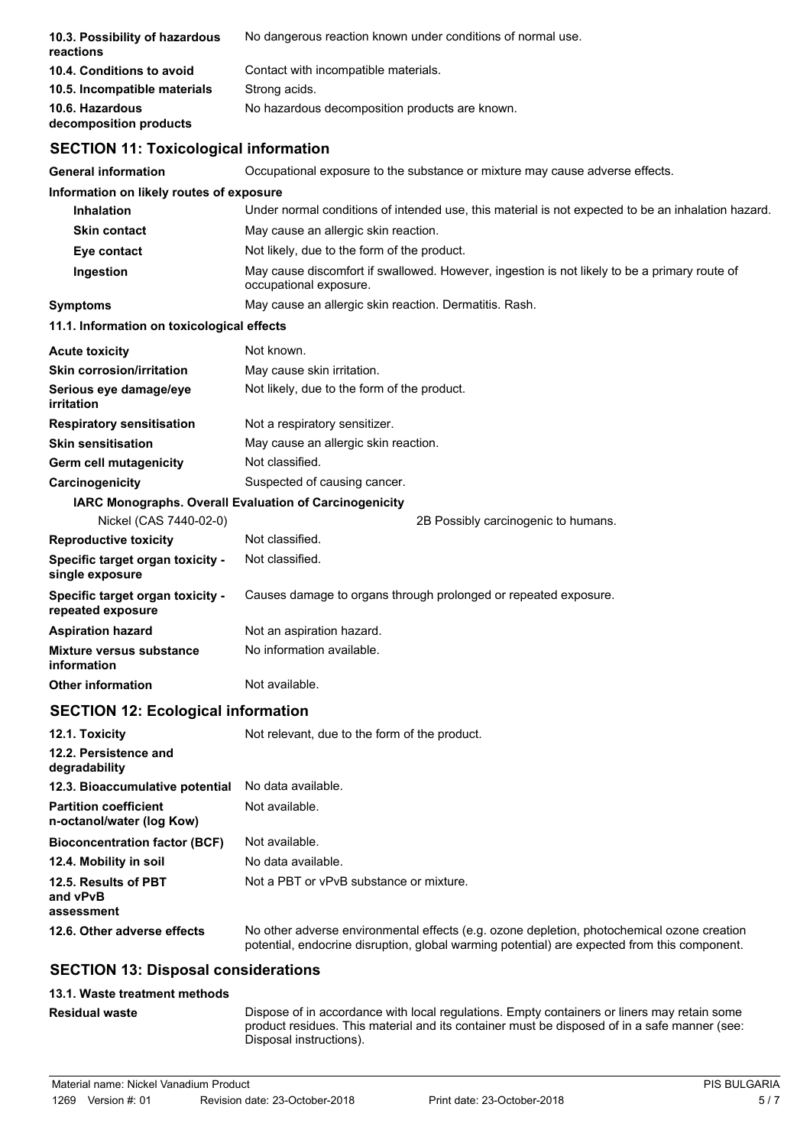| 10.3. Possibility of hazardous<br>reactions                  | No dangerous reaction known under conditions of normal use.                                                                                                                                |
|--------------------------------------------------------------|--------------------------------------------------------------------------------------------------------------------------------------------------------------------------------------------|
| 10.4. Conditions to avoid                                    | Contact with incompatible materials.                                                                                                                                                       |
| 10.5. Incompatible materials                                 | Strong acids.                                                                                                                                                                              |
| 10.6. Hazardous<br>decomposition products                    | No hazardous decomposition products are known.                                                                                                                                             |
| <b>SECTION 11: Toxicological information</b>                 |                                                                                                                                                                                            |
| General information                                          | Occupational exposure to the substance or mixture may cause adverse effects.                                                                                                               |
| Information on likely routes of exposure                     |                                                                                                                                                                                            |
| <b>Inhalation</b>                                            | Under normal conditions of intended use, this material is not expected to be an inhalation hazard.                                                                                         |
| <b>Skin contact</b>                                          | May cause an allergic skin reaction.                                                                                                                                                       |
| Eye contact                                                  | Not likely, due to the form of the product.                                                                                                                                                |
| Ingestion                                                    | May cause discomfort if swallowed. However, ingestion is not likely to be a primary route of<br>occupational exposure.                                                                     |
| <b>Symptoms</b>                                              | May cause an allergic skin reaction. Dermatitis. Rash.                                                                                                                                     |
| 11.1. Information on toxicological effects                   |                                                                                                                                                                                            |
| Acute toxicity                                               | Not known.                                                                                                                                                                                 |
| <b>Skin corrosion/irritation</b>                             | May cause skin irritation.                                                                                                                                                                 |
| Serious eye damage/eye<br>irritation                         | Not likely, due to the form of the product.                                                                                                                                                |
| <b>Respiratory sensitisation</b>                             | Not a respiratory sensitizer.                                                                                                                                                              |
| <b>Skin sensitisation</b>                                    | May cause an allergic skin reaction.                                                                                                                                                       |
| Germ cell mutagenicity                                       | Not classified.                                                                                                                                                                            |
| <b>Carcinogenicity</b>                                       | Suspected of causing cancer.                                                                                                                                                               |
|                                                              | IARC Monographs. Overall Evaluation of Carcinogenicity                                                                                                                                     |
| Nickel (CAS 7440-02-0)                                       | 2B Possibly carcinogenic to humans.                                                                                                                                                        |
| <b>Reproductive toxicity</b>                                 | Not classified.                                                                                                                                                                            |
| Specific target organ toxicity -<br>single exposure          | Not classified.                                                                                                                                                                            |
| <b>Specific target organ toxicity -</b><br>repeated exposure | Causes damage to organs through prolonged or repeated exposure.                                                                                                                            |
| Aspiration hazard                                            | Not an aspiration hazard.                                                                                                                                                                  |
| <b>Mixture versus substance</b><br>information               | No information available.                                                                                                                                                                  |
| <b>Other information</b>                                     | Not available.                                                                                                                                                                             |
| <b>SECTION 12: Ecological information</b>                    |                                                                                                                                                                                            |
| 12.1. Toxicity                                               | Not relevant, due to the form of the product.                                                                                                                                              |
| 12.2. Persistence and<br>degradability                       |                                                                                                                                                                                            |
| 12.3. Bioaccumulative potential                              | No data available.                                                                                                                                                                         |
| <b>Partition coefficient</b><br>n-octanol/water (log Kow)    | Not available.                                                                                                                                                                             |
| <b>Bioconcentration factor (BCF)</b>                         | Not available.                                                                                                                                                                             |
| 12.4. Mobility in soil                                       | No data available.                                                                                                                                                                         |
| 12.5. Results of PBT<br>and vPvB                             | Not a PBT or vPvB substance or mixture.                                                                                                                                                    |
| assessment                                                   |                                                                                                                                                                                            |
| 12.6. Other adverse effects                                  | No other adverse environmental effects (e.g. ozone depletion, photochemical ozone creation<br>potential, endocrine disruption, global warming potential) are expected from this component. |
| <b>SECTION 13: Disposal considerations</b>                   |                                                                                                                                                                                            |
| 49.4. Missis inseterant modific                              |                                                                                                                                                                                            |

## **13.1. Waste treatment methods**

**Residual waste**

Dispose of in accordance with local regulations. Empty containers or liners may retain some product residues. This material and its container must be disposed of in a safe manner (see: Disposal instructions).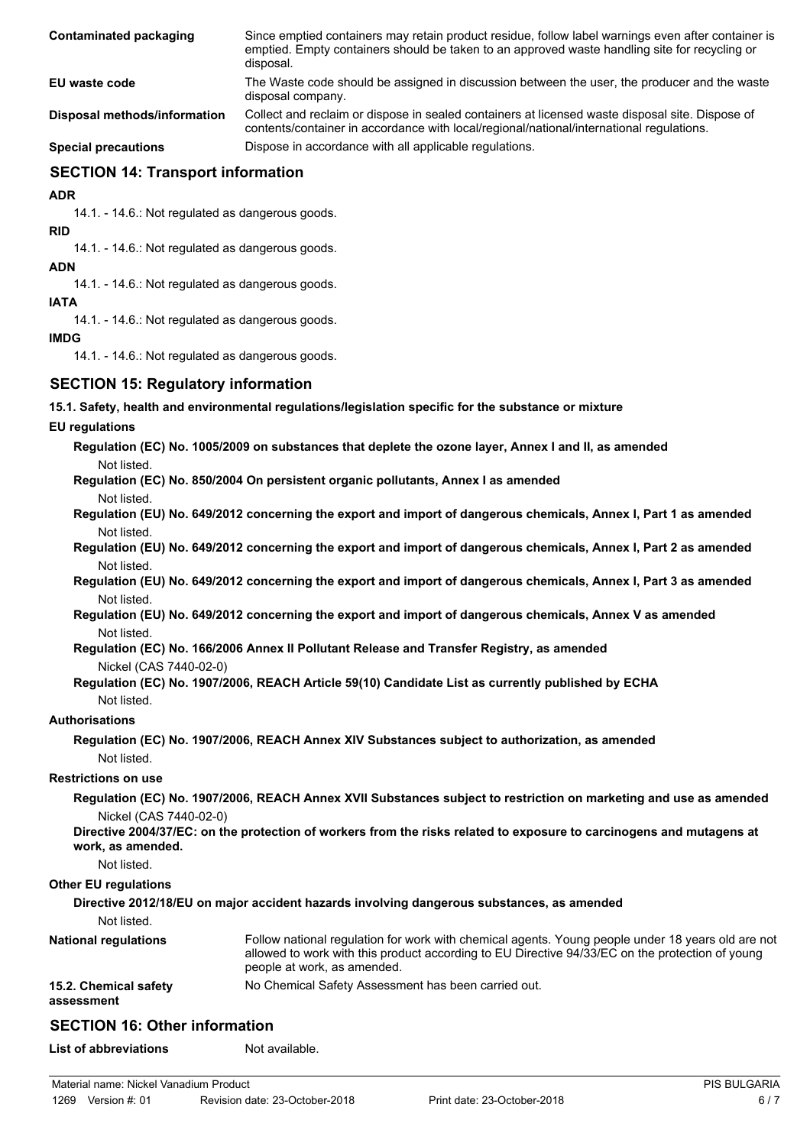| Contaminated packaging       | Since emptied containers may retain product residue, follow label warnings even after container is<br>emptied. Empty containers should be taken to an approved waste handling site for recycling or<br>disposal. |
|------------------------------|------------------------------------------------------------------------------------------------------------------------------------------------------------------------------------------------------------------|
| EU waste code                | The Waste code should be assigned in discussion between the user, the producer and the waste<br>disposal company.                                                                                                |
| Disposal methods/information | Collect and reclaim or dispose in sealed containers at licensed waste disposal site. Dispose of<br>contents/container in accordance with local/regional/national/international regulations.                      |
| <b>Special precautions</b>   | Dispose in accordance with all applicable regulations.                                                                                                                                                           |

## **SECTION 14: Transport information**

**ADR**

14.1. - 14.6.: Not regulated as dangerous goods.

**RID**

14.1. - 14.6.: Not regulated as dangerous goods.

**ADN**

14.1. - 14.6.: Not regulated as dangerous goods.

**IATA**

14.1. - 14.6.: Not regulated as dangerous goods.

### **IMDG**

14.1. - 14.6.: Not regulated as dangerous goods.

## **SECTION 15: Regulatory information**

**15.1. Safety, health and environmental regulations/legislation specific for the substance or mixture**

### **EU regulations**

**Regulation (EC) No. 1005/2009 on substances that deplete the ozone layer, Annex I and II, as amended** Not listed.

**Regulation (EC) No. 850/2004 On persistent organic pollutants, Annex I as amended**

- Not listed.
- **Regulation (EU) No. 649/2012 concerning the export and import of dangerous chemicals, Annex I, Part 1 as amended** Not listed.
- **Regulation (EU) No. 649/2012 concerning the export and import of dangerous chemicals, Annex I, Part 2 as amended** Not listed.
- **Regulation (EU) No. 649/2012 concerning the export and import of dangerous chemicals, Annex I, Part 3 as amended** Not listed.

**Regulation (EU) No. 649/2012 concerning the export and import of dangerous chemicals, Annex V as amended** Not listed.

**Regulation (EC) No. 166/2006 Annex II Pollutant Release and Transfer Registry, as amended**

Nickel (CAS 7440-02-0)

### **Regulation (EC) No. 1907/2006, REACH Article 59(10) Candidate List as currently published by ECHA** Not listed.

# **Authorisations**

**Regulation (EC) No. 1907/2006, REACH Annex XIV Substances subject to authorization, as amended** Not listed.

### **Restrictions on use**

**Regulation (EC) No. 1907/2006, REACH Annex XVII Substances subject to restriction on marketing and use as amended** Nickel (CAS 7440-02-0)

**Directive 2004/37/EC: on the protection of workers from the risks related to exposure to carcinogens and mutagens at work, as amended.**

Not listed.

### **Other EU regulations**

### **Directive 2012/18/EU on major accident hazards involving dangerous substances, as amended**

Not listed.

| <b>National regulations</b>         | Follow national regulation for work with chemical agents. Young people under 18 years old are not<br>allowed to work with this product according to EU Directive 94/33/EC on the protection of young<br>people at work, as amended. |
|-------------------------------------|-------------------------------------------------------------------------------------------------------------------------------------------------------------------------------------------------------------------------------------|
| 15.2. Chemical safety<br>assessment | No Chemical Safety Assessment has been carried out.                                                                                                                                                                                 |

## **SECTION 16: Other information**

**List of abbreviations** Not available.